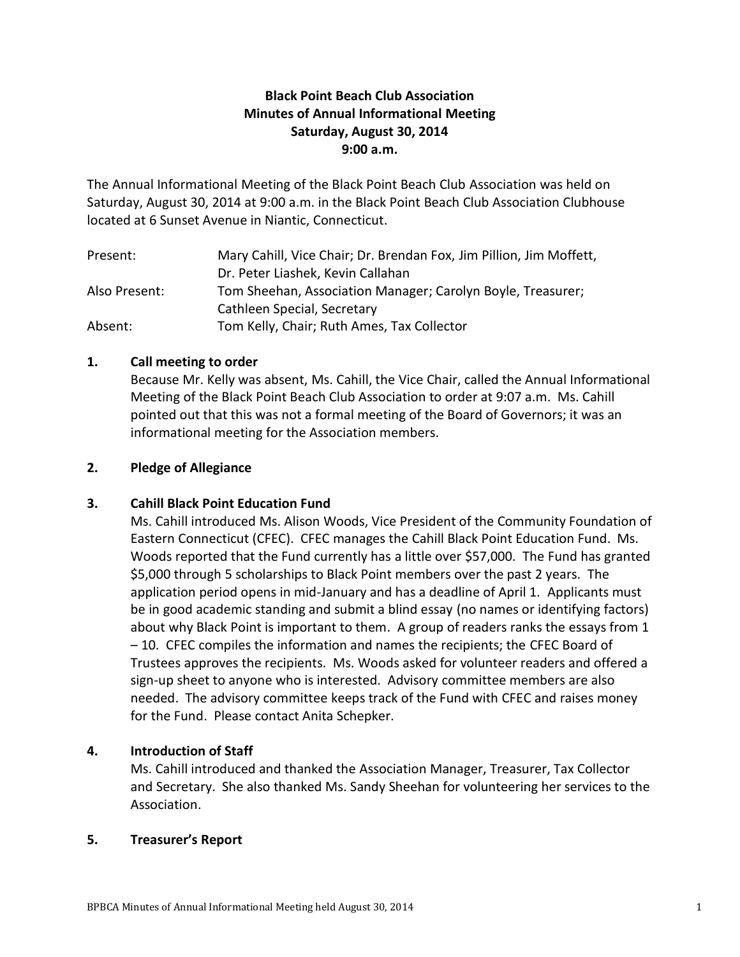# **Black Point Beach Club Association Minutes of Annual Informational Meeting Saturday, August 30, 2014 9:00 a.m.**

The Annual Informational Meeting of the Black Point Beach Club Association was held on Saturday, August 30, 2014 at 9:00 a.m. in the Black Point Beach Club Association Clubhouse located at 6 Sunset Avenue in Niantic, Connecticut.

| Present:      | Mary Cahill, Vice Chair; Dr. Brendan Fox, Jim Pillion, Jim Moffett, |
|---------------|---------------------------------------------------------------------|
|               | Dr. Peter Liashek, Kevin Callahan                                   |
| Also Present: | Tom Sheehan, Association Manager; Carolyn Boyle, Treasurer;         |
|               | Cathleen Special, Secretary                                         |
| Absent:       | Tom Kelly, Chair; Ruth Ames, Tax Collector                          |

## **1. Call meeting to order**

Because Mr. Kelly was absent, Ms. Cahill, the Vice Chair, called the Annual Informational Meeting of the Black Point Beach Club Association to order at 9:07 a.m. Ms. Cahill pointed out that this was not a formal meeting of the Board of Governors; it was an informational meeting for the Association members.

### **2. Pledge of Allegiance**

## **3. Cahill Black Point Education Fund**

Ms. Cahill introduced Ms. Alison Woods, Vice President of the Community Foundation of Eastern Connecticut (CFEC). CFEC manages the Cahill Black Point Education Fund. Ms. Woods reported that the Fund currently has a little over \$57,000. The Fund has granted \$5,000 through 5 scholarships to Black Point members over the past 2 years. The application period opens in mid-January and has a deadline of April 1. Applicants must be in good academic standing and submit a blind essay (no names or identifying factors) about why Black Point is important to them. A group of readers ranks the essays from 1 – 10. CFEC compiles the information and names the recipients; the CFEC Board of Trustees approves the recipients. Ms. Woods asked for volunteer readers and offered a sign-up sheet to anyone who is interested. Advisory committee members are also needed. The advisory committee keeps track of the Fund with CFEC and raises money for the Fund. Please contact Anita Schepker.

## **4. Introduction of Staff**

Ms. Cahill introduced and thanked the Association Manager, Treasurer, Tax Collector and Secretary. She also thanked Ms. Sandy Sheehan for volunteering her services to the Association.

#### **5. Treasurer's Report**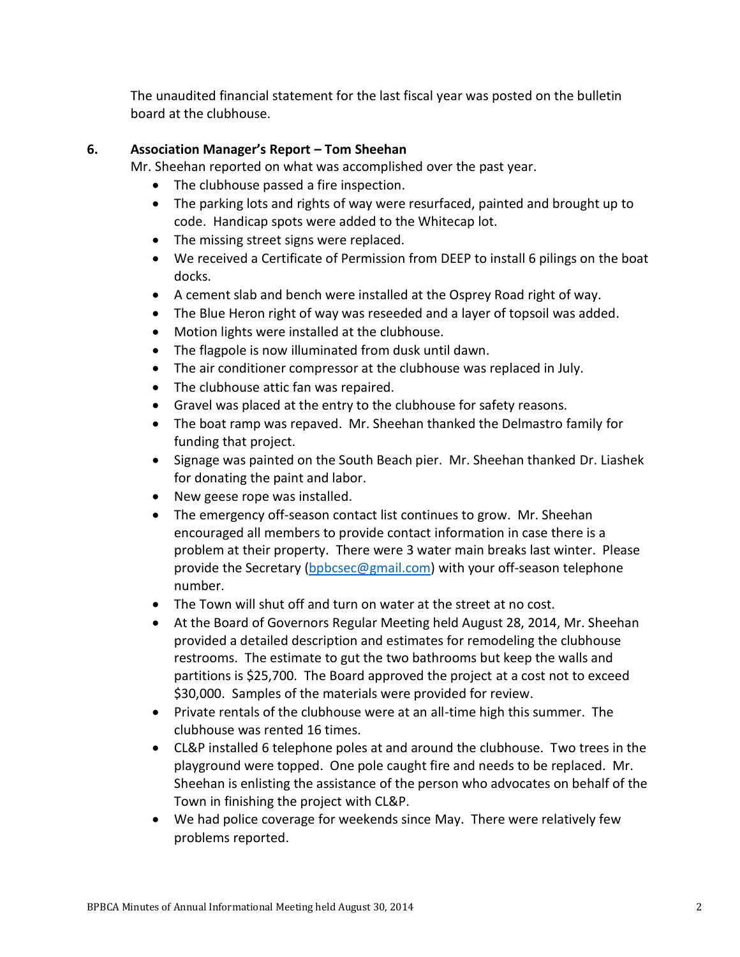The unaudited financial statement for the last fiscal year was posted on the bulletin board at the clubhouse.

# **6. Association Manager's Report – Tom Sheehan**

Mr. Sheehan reported on what was accomplished over the past year.

- The clubhouse passed a fire inspection.
- The parking lots and rights of way were resurfaced, painted and brought up to code. Handicap spots were added to the Whitecap lot.
- The missing street signs were replaced.
- We received a Certificate of Permission from DEEP to install 6 pilings on the boat docks.
- A cement slab and bench were installed at the Osprey Road right of way.
- The Blue Heron right of way was reseeded and a layer of topsoil was added.
- Motion lights were installed at the clubhouse.
- The flagpole is now illuminated from dusk until dawn.
- The air conditioner compressor at the clubhouse was replaced in July.
- The clubhouse attic fan was repaired.
- Gravel was placed at the entry to the clubhouse for safety reasons.
- The boat ramp was repaved. Mr. Sheehan thanked the Delmastro family for funding that project.
- Signage was painted on the South Beach pier. Mr. Sheehan thanked Dr. Liashek for donating the paint and labor.
- New geese rope was installed.
- The emergency off-season contact list continues to grow. Mr. Sheehan encouraged all members to provide contact information in case there is a problem at their property. There were 3 water main breaks last winter. Please provide the Secretary [\(bpbcsec@gmail.com\)](mailto:bpbcsec@gmail.com) with your off-season telephone number.
- The Town will shut off and turn on water at the street at no cost.
- At the Board of Governors Regular Meeting held August 28, 2014, Mr. Sheehan provided a detailed description and estimates for remodeling the clubhouse restrooms. The estimate to gut the two bathrooms but keep the walls and partitions is \$25,700. The Board approved the project at a cost not to exceed \$30,000. Samples of the materials were provided for review.
- Private rentals of the clubhouse were at an all-time high this summer. The clubhouse was rented 16 times.
- CL&P installed 6 telephone poles at and around the clubhouse. Two trees in the playground were topped. One pole caught fire and needs to be replaced. Mr. Sheehan is enlisting the assistance of the person who advocates on behalf of the Town in finishing the project with CL&P.
- We had police coverage for weekends since May. There were relatively few problems reported.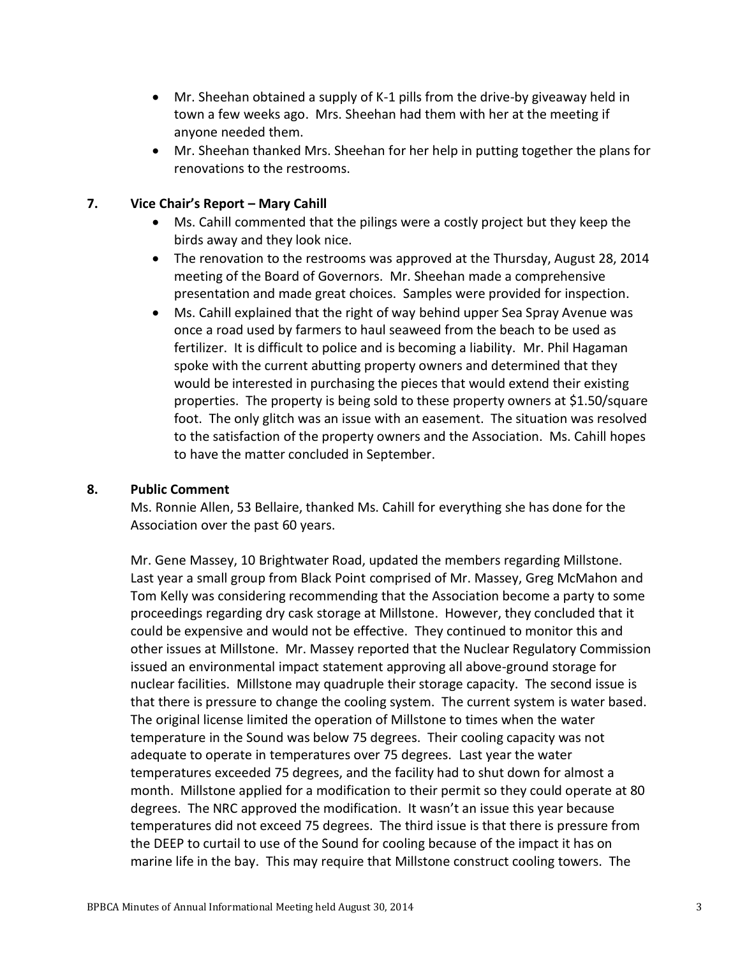- Mr. Sheehan obtained a supply of K-1 pills from the drive-by giveaway held in town a few weeks ago. Mrs. Sheehan had them with her at the meeting if anyone needed them.
- Mr. Sheehan thanked Mrs. Sheehan for her help in putting together the plans for renovations to the restrooms.

## **7. Vice Chair's Report – Mary Cahill**

- Ms. Cahill commented that the pilings were a costly project but they keep the birds away and they look nice.
- The renovation to the restrooms was approved at the Thursday, August 28, 2014 meeting of the Board of Governors. Mr. Sheehan made a comprehensive presentation and made great choices. Samples were provided for inspection.
- Ms. Cahill explained that the right of way behind upper Sea Spray Avenue was once a road used by farmers to haul seaweed from the beach to be used as fertilizer. It is difficult to police and is becoming a liability. Mr. Phil Hagaman spoke with the current abutting property owners and determined that they would be interested in purchasing the pieces that would extend their existing properties. The property is being sold to these property owners at \$1.50/square foot. The only glitch was an issue with an easement. The situation was resolved to the satisfaction of the property owners and the Association. Ms. Cahill hopes to have the matter concluded in September.

## **8. Public Comment**

Ms. Ronnie Allen, 53 Bellaire, thanked Ms. Cahill for everything she has done for the Association over the past 60 years.

Mr. Gene Massey, 10 Brightwater Road, updated the members regarding Millstone. Last year a small group from Black Point comprised of Mr. Massey, Greg McMahon and Tom Kelly was considering recommending that the Association become a party to some proceedings regarding dry cask storage at Millstone. However, they concluded that it could be expensive and would not be effective. They continued to monitor this and other issues at Millstone. Mr. Massey reported that the Nuclear Regulatory Commission issued an environmental impact statement approving all above-ground storage for nuclear facilities. Millstone may quadruple their storage capacity. The second issue is that there is pressure to change the cooling system. The current system is water based. The original license limited the operation of Millstone to times when the water temperature in the Sound was below 75 degrees. Their cooling capacity was not adequate to operate in temperatures over 75 degrees. Last year the water temperatures exceeded 75 degrees, and the facility had to shut down for almost a month. Millstone applied for a modification to their permit so they could operate at 80 degrees. The NRC approved the modification. It wasn't an issue this year because temperatures did not exceed 75 degrees. The third issue is that there is pressure from the DEEP to curtail to use of the Sound for cooling because of the impact it has on marine life in the bay. This may require that Millstone construct cooling towers. The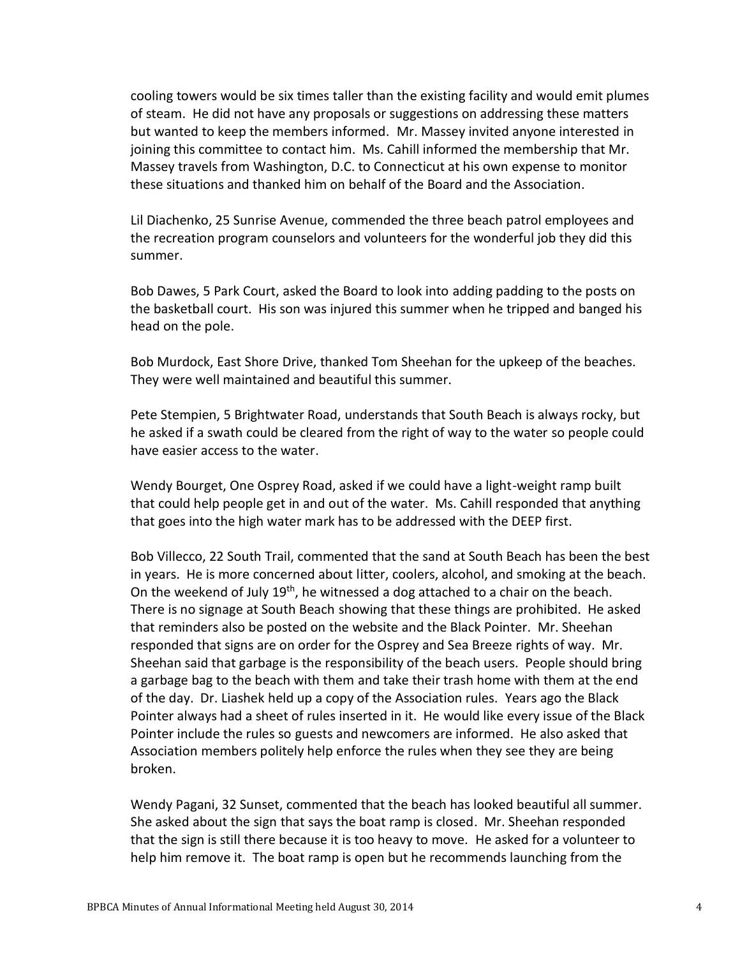cooling towers would be six times taller than the existing facility and would emit plumes of steam. He did not have any proposals or suggestions on addressing these matters but wanted to keep the members informed. Mr. Massey invited anyone interested in joining this committee to contact him. Ms. Cahill informed the membership that Mr. Massey travels from Washington, D.C. to Connecticut at his own expense to monitor these situations and thanked him on behalf of the Board and the Association.

Lil Diachenko, 25 Sunrise Avenue, commended the three beach patrol employees and the recreation program counselors and volunteers for the wonderful job they did this summer.

Bob Dawes, 5 Park Court, asked the Board to look into adding padding to the posts on the basketball court. His son was injured this summer when he tripped and banged his head on the pole.

Bob Murdock, East Shore Drive, thanked Tom Sheehan for the upkeep of the beaches. They were well maintained and beautiful this summer.

Pete Stempien, 5 Brightwater Road, understands that South Beach is always rocky, but he asked if a swath could be cleared from the right of way to the water so people could have easier access to the water.

Wendy Bourget, One Osprey Road, asked if we could have a light-weight ramp built that could help people get in and out of the water. Ms. Cahill responded that anything that goes into the high water mark has to be addressed with the DEEP first.

Bob Villecco, 22 South Trail, commented that the sand at South Beach has been the best in years. He is more concerned about litter, coolers, alcohol, and smoking at the beach. On the weekend of July 19<sup>th</sup>, he witnessed a dog attached to a chair on the beach. There is no signage at South Beach showing that these things are prohibited. He asked that reminders also be posted on the website and the Black Pointer. Mr. Sheehan responded that signs are on order for the Osprey and Sea Breeze rights of way. Mr. Sheehan said that garbage is the responsibility of the beach users. People should bring a garbage bag to the beach with them and take their trash home with them at the end of the day. Dr. Liashek held up a copy of the Association rules. Years ago the Black Pointer always had a sheet of rules inserted in it. He would like every issue of the Black Pointer include the rules so guests and newcomers are informed. He also asked that Association members politely help enforce the rules when they see they are being broken.

Wendy Pagani, 32 Sunset, commented that the beach has looked beautiful all summer. She asked about the sign that says the boat ramp is closed. Mr. Sheehan responded that the sign is still there because it is too heavy to move. He asked for a volunteer to help him remove it. The boat ramp is open but he recommends launching from the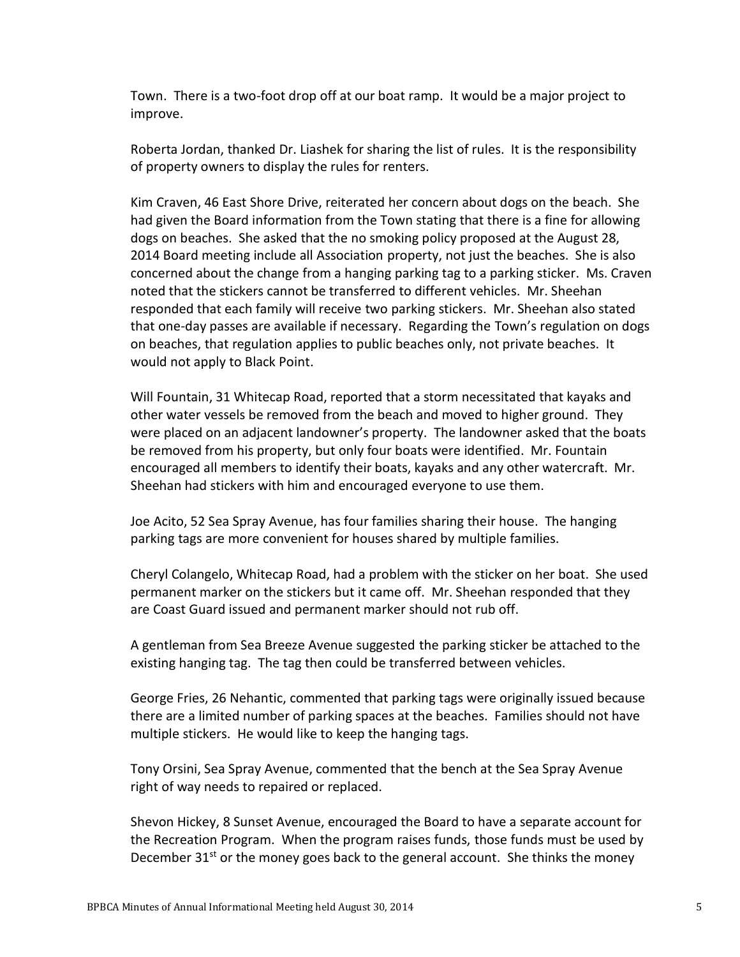Town. There is a two-foot drop off at our boat ramp. It would be a major project to improve.

Roberta Jordan, thanked Dr. Liashek for sharing the list of rules. It is the responsibility of property owners to display the rules for renters.

Kim Craven, 46 East Shore Drive, reiterated her concern about dogs on the beach. She had given the Board information from the Town stating that there is a fine for allowing dogs on beaches. She asked that the no smoking policy proposed at the August 28, 2014 Board meeting include all Association property, not just the beaches. She is also concerned about the change from a hanging parking tag to a parking sticker. Ms. Craven noted that the stickers cannot be transferred to different vehicles. Mr. Sheehan responded that each family will receive two parking stickers. Mr. Sheehan also stated that one-day passes are available if necessary. Regarding the Town's regulation on dogs on beaches, that regulation applies to public beaches only, not private beaches. It would not apply to Black Point.

Will Fountain, 31 Whitecap Road, reported that a storm necessitated that kayaks and other water vessels be removed from the beach and moved to higher ground. They were placed on an adjacent landowner's property. The landowner asked that the boats be removed from his property, but only four boats were identified. Mr. Fountain encouraged all members to identify their boats, kayaks and any other watercraft. Mr. Sheehan had stickers with him and encouraged everyone to use them.

Joe Acito, 52 Sea Spray Avenue, has four families sharing their house. The hanging parking tags are more convenient for houses shared by multiple families.

Cheryl Colangelo, Whitecap Road, had a problem with the sticker on her boat. She used permanent marker on the stickers but it came off. Mr. Sheehan responded that they are Coast Guard issued and permanent marker should not rub off.

A gentleman from Sea Breeze Avenue suggested the parking sticker be attached to the existing hanging tag. The tag then could be transferred between vehicles.

George Fries, 26 Nehantic, commented that parking tags were originally issued because there are a limited number of parking spaces at the beaches. Families should not have multiple stickers. He would like to keep the hanging tags.

Tony Orsini, Sea Spray Avenue, commented that the bench at the Sea Spray Avenue right of way needs to repaired or replaced.

Shevon Hickey, 8 Sunset Avenue, encouraged the Board to have a separate account for the Recreation Program. When the program raises funds, those funds must be used by December 31<sup>st</sup> or the money goes back to the general account. She thinks the money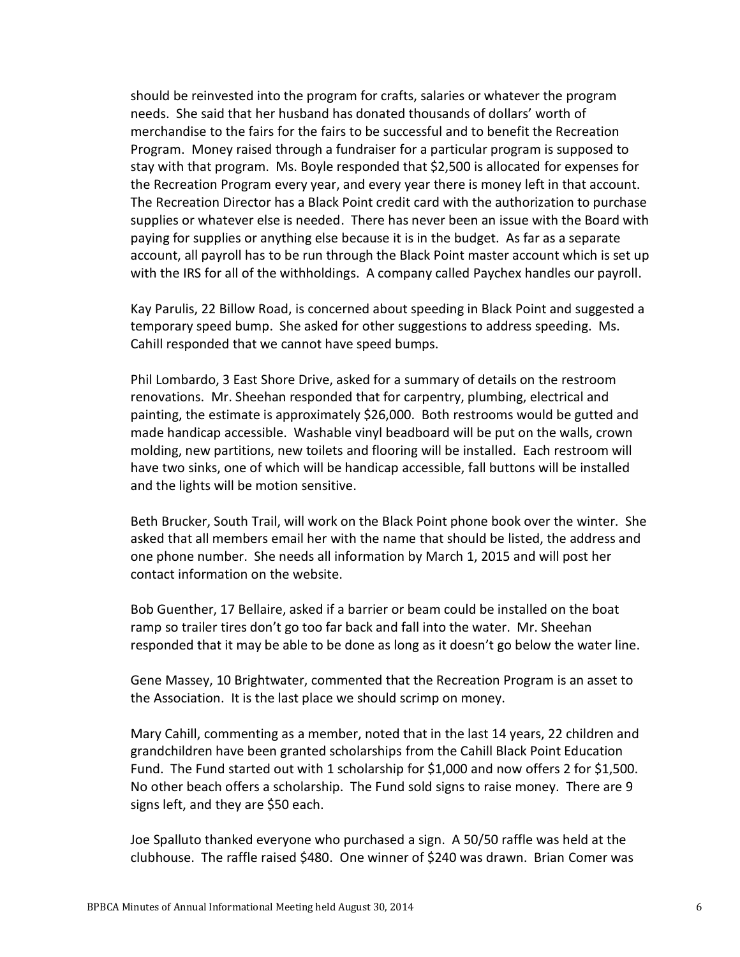should be reinvested into the program for crafts, salaries or whatever the program needs. She said that her husband has donated thousands of dollars' worth of merchandise to the fairs for the fairs to be successful and to benefit the Recreation Program. Money raised through a fundraiser for a particular program is supposed to stay with that program. Ms. Boyle responded that \$2,500 is allocated for expenses for the Recreation Program every year, and every year there is money left in that account. The Recreation Director has a Black Point credit card with the authorization to purchase supplies or whatever else is needed. There has never been an issue with the Board with paying for supplies or anything else because it is in the budget. As far as a separate account, all payroll has to be run through the Black Point master account which is set up with the IRS for all of the withholdings. A company called Paychex handles our payroll.

Kay Parulis, 22 Billow Road, is concerned about speeding in Black Point and suggested a temporary speed bump. She asked for other suggestions to address speeding. Ms. Cahill responded that we cannot have speed bumps.

Phil Lombardo, 3 East Shore Drive, asked for a summary of details on the restroom renovations. Mr. Sheehan responded that for carpentry, plumbing, electrical and painting, the estimate is approximately \$26,000. Both restrooms would be gutted and made handicap accessible. Washable vinyl beadboard will be put on the walls, crown molding, new partitions, new toilets and flooring will be installed. Each restroom will have two sinks, one of which will be handicap accessible, fall buttons will be installed and the lights will be motion sensitive.

Beth Brucker, South Trail, will work on the Black Point phone book over the winter. She asked that all members email her with the name that should be listed, the address and one phone number. She needs all information by March 1, 2015 and will post her contact information on the website.

Bob Guenther, 17 Bellaire, asked if a barrier or beam could be installed on the boat ramp so trailer tires don't go too far back and fall into the water. Mr. Sheehan responded that it may be able to be done as long as it doesn't go below the water line.

Gene Massey, 10 Brightwater, commented that the Recreation Program is an asset to the Association. It is the last place we should scrimp on money.

Mary Cahill, commenting as a member, noted that in the last 14 years, 22 children and grandchildren have been granted scholarships from the Cahill Black Point Education Fund. The Fund started out with 1 scholarship for \$1,000 and now offers 2 for \$1,500. No other beach offers a scholarship. The Fund sold signs to raise money. There are 9 signs left, and they are \$50 each.

Joe Spalluto thanked everyone who purchased a sign. A 50/50 raffle was held at the clubhouse. The raffle raised \$480. One winner of \$240 was drawn. Brian Comer was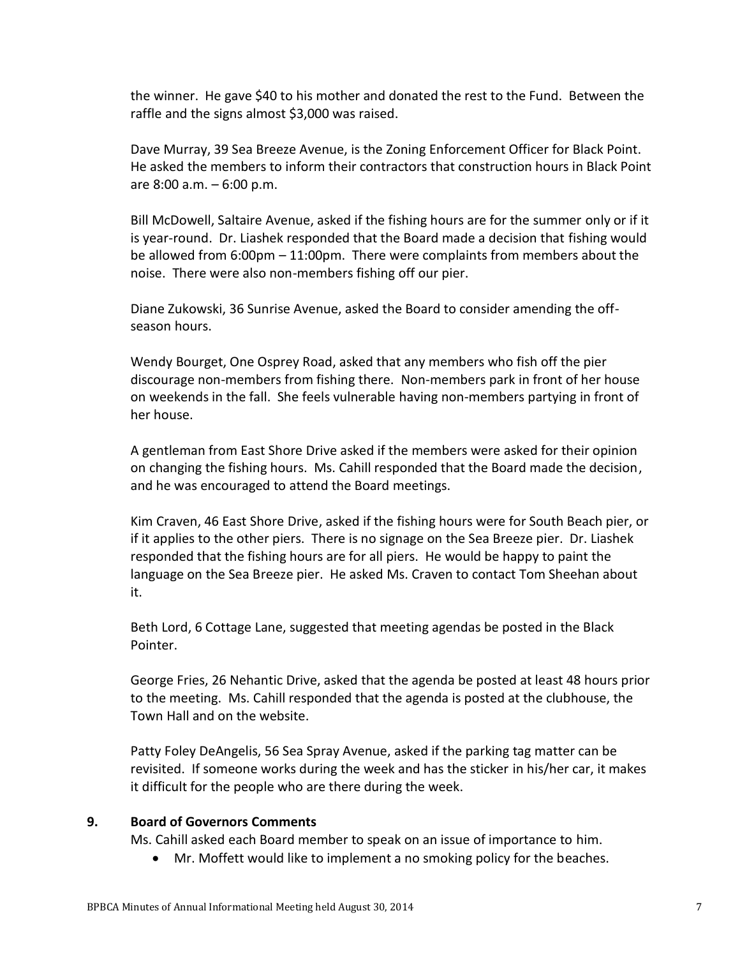the winner. He gave \$40 to his mother and donated the rest to the Fund. Between the raffle and the signs almost \$3,000 was raised.

Dave Murray, 39 Sea Breeze Avenue, is the Zoning Enforcement Officer for Black Point. He asked the members to inform their contractors that construction hours in Black Point are 8:00 a.m. – 6:00 p.m.

Bill McDowell, Saltaire Avenue, asked if the fishing hours are for the summer only or if it is year-round. Dr. Liashek responded that the Board made a decision that fishing would be allowed from 6:00pm – 11:00pm. There were complaints from members about the noise. There were also non-members fishing off our pier.

Diane Zukowski, 36 Sunrise Avenue, asked the Board to consider amending the offseason hours.

Wendy Bourget, One Osprey Road, asked that any members who fish off the pier discourage non-members from fishing there. Non-members park in front of her house on weekends in the fall. She feels vulnerable having non-members partying in front of her house.

A gentleman from East Shore Drive asked if the members were asked for their opinion on changing the fishing hours. Ms. Cahill responded that the Board made the decision, and he was encouraged to attend the Board meetings.

Kim Craven, 46 East Shore Drive, asked if the fishing hours were for South Beach pier, or if it applies to the other piers. There is no signage on the Sea Breeze pier. Dr. Liashek responded that the fishing hours are for all piers. He would be happy to paint the language on the Sea Breeze pier. He asked Ms. Craven to contact Tom Sheehan about it.

Beth Lord, 6 Cottage Lane, suggested that meeting agendas be posted in the Black Pointer.

George Fries, 26 Nehantic Drive, asked that the agenda be posted at least 48 hours prior to the meeting. Ms. Cahill responded that the agenda is posted at the clubhouse, the Town Hall and on the website.

Patty Foley DeAngelis, 56 Sea Spray Avenue, asked if the parking tag matter can be revisited. If someone works during the week and has the sticker in his/her car, it makes it difficult for the people who are there during the week.

#### **9. Board of Governors Comments**

Ms. Cahill asked each Board member to speak on an issue of importance to him.

Mr. Moffett would like to implement a no smoking policy for the beaches.